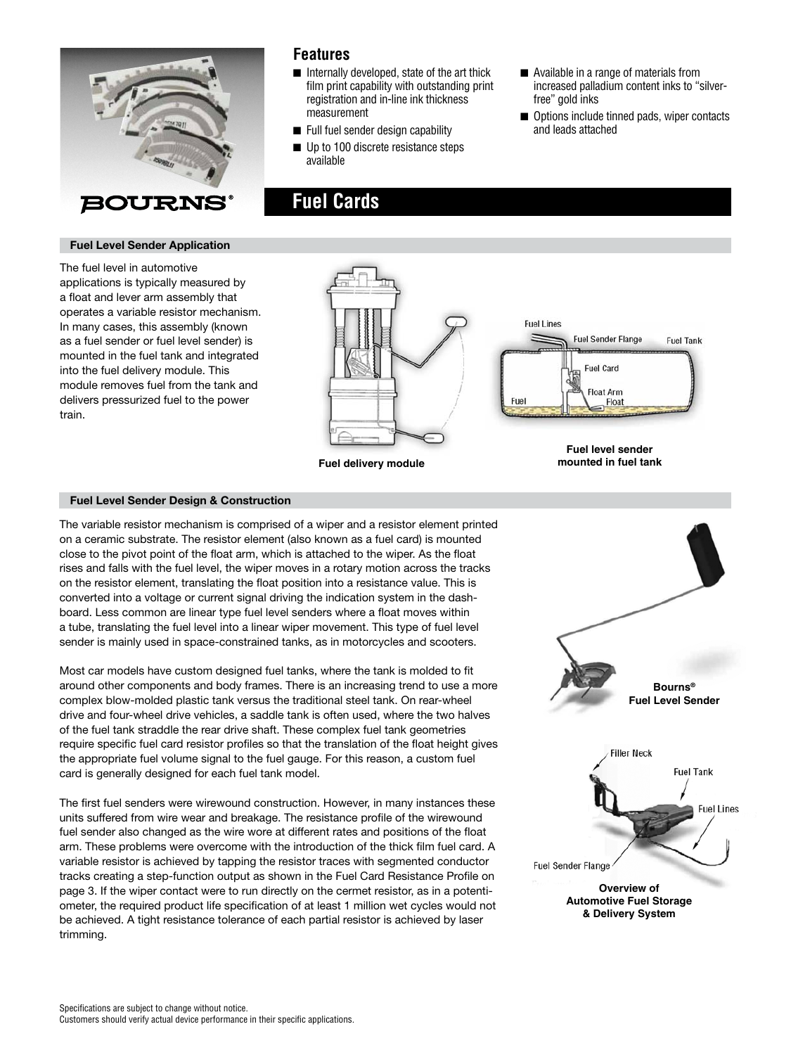

### **Fuel Level Sender Application**

The fuel level in automotive applications is typically measured by a float and lever arm assembly that operates a variable resistor mechanism. In many cases, this assembly (known as a fuel sender or fuel level sender) is mounted in the fuel tank and integrated into the fuel delivery module. This module removes fuel from the tank and delivers pressurized fuel to the power train.

## **Features**

- Internally developed, state of the art thick film print capability with outstanding print registration and in-line ink thickness measurement
- Full fuel sender design capability
- Up to 100 discrete resistance steps available
- Available in a range of materials from increased palladium content inks to "silver free" gold inks
- Options include tinned pads, wiper contacts and leads attached

 **Fuel Cards**



### **Fuel Level Sender Design & Construction**

The variable resistor mechanism is comprised of a wiper and a resistor element printed on a ceramic substrate. The resistor element (also known as a fuel card) is mounted close to the pivot point of the float arm, which is attached to the wiper. As the float rises and falls with the fuel level, the wiper moves in a rotary motion across the tracks on the resistor element, translating the float position into a resistance value. This is converted into a voltage or current signal driving the indication system in the dashboard. Less common are linear type fuel level senders where a float moves within a tube, translating the fuel level into a linear wiper movement. This type of fuel level sender is mainly used in space-constrained tanks, as in motorcycles and scooters.

Most car models have custom designed fuel tanks, where the tank is molded to fit around other components and body frames. There is an increasing trend to use a more complex blow-molded plastic tank versus the traditional steel tank. On rear-wheel drive and four-wheel drive vehicles, a saddle tank is often used, where the two halves of the fuel tank straddle the rear drive shaft. These complex fuel tank geometries require specific fuel card resistor profiles so that the translation of the float height gives the appropriate fuel volume signal to the fuel gauge. For this reason, a custom fuel card is generally designed for each fuel tank model.

The first fuel senders were wirewound construction. However, in many instances these units suffered from wire wear and breakage. The resistance profile of the wirewound fuel sender also changed as the wire wore at different rates and positions of the float arm. These problems were overcome with the introduction of the thick film fuel card. A variable resistor is achieved by tapping the resistor traces with segmented conductor tracks creating a step-function output as shown in the Fuel Card Resistance Profile on page 3. If the wiper contact were to run directly on the cermet resistor, as in a potentiometer, the required product life specification of at least 1 million wet cycles would not be achieved. A tight resistance tolerance of each partial resistor is achieved by laser trimming.

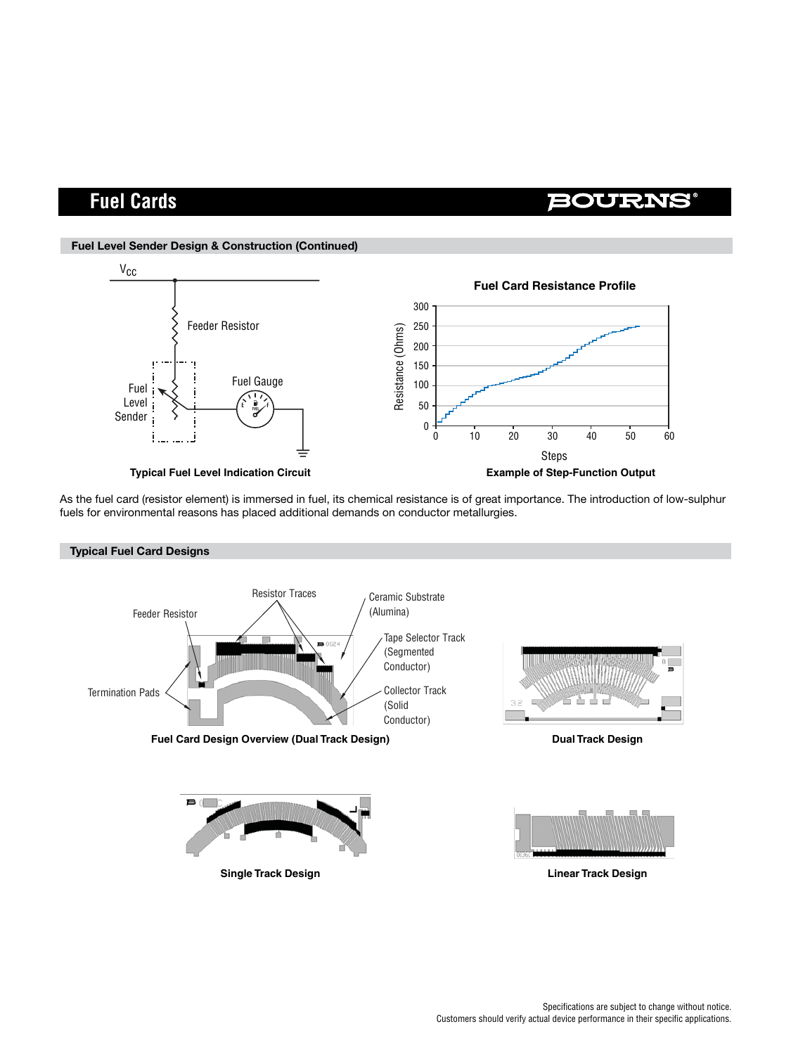# **Fuel Cards**

### **Fuel Level Sender Design & Construction (Continued)**



As the fuel card (resistor element) is immersed in fuel, its chemical resistance is of great importance. The introduction of low-sulphur fuels for environmental reasons has placed additional demands on conductor metallurgies.

### **Typical Fuel Card Designs**







**BOURNS** 

**Single Track Design Linear Track Design**